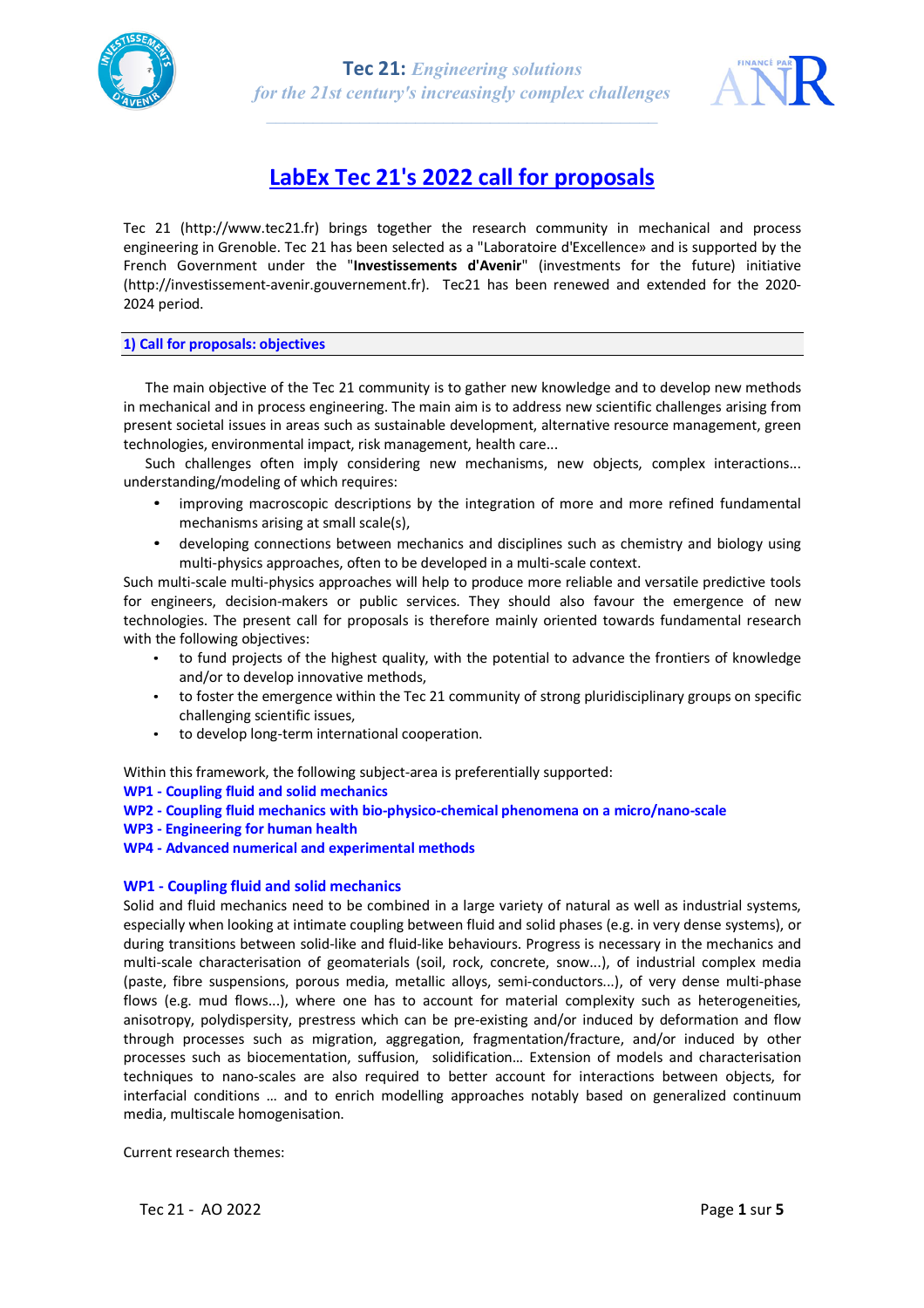



# **LabEx Tec 21's 2022 call for proposals**

Tec 21 (http://www.tec21.fr) brings together the research community in mechanical and process engineering in Grenoble. Tec 21 has been selected as a "Laboratoire d'Excellence» and is supported by the French Government under the "**Investissements d'Avenir**" (investments for the future) initiative (http://investissement-avenir.gouvernement.fr). Tec21 has been renewed and extended for the 2020- 2024 period.

### **1) Call for proposals: objectives**

The main objective of the Tec 21 community is to gather new knowledge and to develop new methods in mechanical and in process engineering. The main aim is to address new scientific challenges arising from present societal issues in areas such as sustainable development, alternative resource management, green technologies, environmental impact, risk management, health care...

Such challenges often imply considering new mechanisms, new objects, complex interactions... understanding/modeling of which requires:

- improving macroscopic descriptions by the integration of more and more refined fundamental mechanisms arising at small scale(s),
- developing connections between mechanics and disciplines such as chemistry and biology using multi-physics approaches, often to be developed in a multi-scale context.

Such multi-scale multi-physics approaches will help to produce more reliable and versatile predictive tools for engineers, decision-makers or public services. They should also favour the emergence of new technologies. The present call for proposals is therefore mainly oriented towards fundamental research with the following objectives:

- to fund projects of the highest quality, with the potential to advance the frontiers of knowledge and/or to develop innovative methods,
- to foster the emergence within the Tec 21 community of strong pluridisciplinary groups on specific challenging scientific issues,
- to develop long-term international cooperation.

Within this framework, the following subject-area is preferentially supported:

- **WP1 - Coupling fluid and solid mechanics**
- **WP2 - Coupling fluid mechanics with bio-physico-chemical phenomena on a micro/nano-scale**
- **WP3 - Engineering for human health**
- **WP4 - Advanced numerical and experimental methods**

# **WP1 - Coupling fluid and solid mechanics**

Solid and fluid mechanics need to be combined in a large variety of natural as well as industrial systems, especially when looking at intimate coupling between fluid and solid phases (e.g. in very dense systems), or during transitions between solid-like and fluid-like behaviours. Progress is necessary in the mechanics and multi-scale characterisation of geomaterials (soil, rock, concrete, snow...), of industrial complex media (paste, fibre suspensions, porous media, metallic alloys, semi-conductors...), of very dense multi-phase flows (e.g. mud flows...), where one has to account for material complexity such as heterogeneities, anisotropy, polydispersity, prestress which can be pre-existing and/or induced by deformation and flow through processes such as migration, aggregation, fragmentation/fracture, and/or induced by other processes such as biocementation, suffusion, solidification… Extension of models and characterisation techniques to nano-scales are also required to better account for interactions between objects, for interfacial conditions … and to enrich modelling approaches notably based on generalized continuum media, multiscale homogenisation.

Current research themes:

Tec 21 - AO 2022 Page **1** sur **5**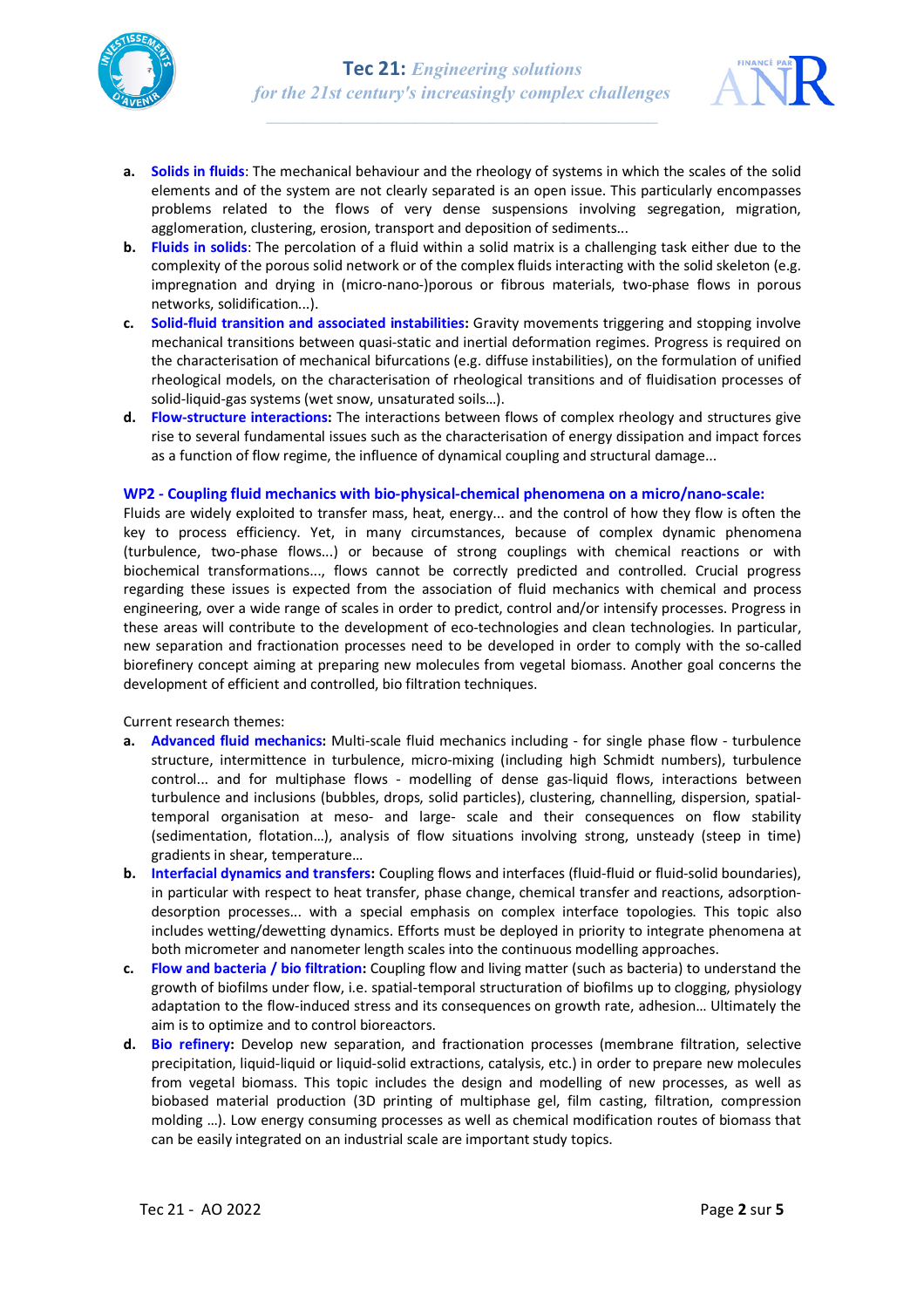



- **a. Solids in fluids**: The mechanical behaviour and the rheology of systems in which the scales of the solid elements and of the system are not clearly separated is an open issue. This particularly encompasses problems related to the flows of very dense suspensions involving segregation, migration, agglomeration, clustering, erosion, transport and deposition of sediments...
- **b. Fluids in solids**: The percolation of a fluid within a solid matrix is a challenging task either due to the complexity of the porous solid network or of the complex fluids interacting with the solid skeleton (e.g. impregnation and drying in (micro-nano-)porous or fibrous materials, two-phase flows in porous networks, solidification...).
- **c. Solid-fluid transition and associated instabilities:** Gravity movements triggering and stopping involve mechanical transitions between quasi-static and inertial deformation regimes. Progress is required on the characterisation of mechanical bifurcations (e.g. diffuse instabilities), on the formulation of unified rheological models, on the characterisation of rheological transitions and of fluidisation processes of solid-liquid-gas systems (wet snow, unsaturated soils…).
- **d. Flow-structure interactions:** The interactions between flows of complex rheology and structures give rise to several fundamental issues such as the characterisation of energy dissipation and impact forces as a function of flow regime, the influence of dynamical coupling and structural damage...

### **WP2 - Coupling fluid mechanics with bio-physical-chemical phenomena on a micro/nano-scale:**

Fluids are widely exploited to transfer mass, heat, energy... and the control of how they flow is often the key to process efficiency. Yet, in many circumstances, because of complex dynamic phenomena (turbulence, two-phase flows...) or because of strong couplings with chemical reactions or with biochemical transformations..., flows cannot be correctly predicted and controlled. Crucial progress regarding these issues is expected from the association of fluid mechanics with chemical and process engineering, over a wide range of scales in order to predict, control and/or intensify processes. Progress in these areas will contribute to the development of eco-technologies and clean technologies. In particular, new separation and fractionation processes need to be developed in order to comply with the so-called biorefinery concept aiming at preparing new molecules from vegetal biomass. Another goal concerns the development of efficient and controlled, bio filtration techniques.

Current research themes:

- **a. Advanced fluid mechanics:** Multi-scale fluid mechanics including for single phase flow turbulence structure, intermittence in turbulence, micro-mixing (including high Schmidt numbers), turbulence control... and for multiphase flows - modelling of dense gas-liquid flows, interactions between turbulence and inclusions (bubbles, drops, solid particles), clustering, channelling, dispersion, spatialtemporal organisation at meso- and large- scale and their consequences on flow stability (sedimentation, flotation…), analysis of flow situations involving strong, unsteady (steep in time) gradients in shear, temperature…
- **b. Interfacial dynamics and transfers:** Coupling flows and interfaces (fluid-fluid or fluid-solid boundaries), in particular with respect to heat transfer, phase change, chemical transfer and reactions, adsorptiondesorption processes... with a special emphasis on complex interface topologies. This topic also includes wetting/dewetting dynamics. Efforts must be deployed in priority to integrate phenomena at both micrometer and nanometer length scales into the continuous modelling approaches.
- **c. Flow and bacteria / bio filtration:** Coupling flow and living matter (such as bacteria) to understand the growth of biofilms under flow, i.e. spatial-temporal structuration of biofilms up to clogging, physiology adaptation to the flow-induced stress and its consequences on growth rate, adhesion… Ultimately the aim is to optimize and to control bioreactors.
- **d. Bio refinery:** Develop new separation, and fractionation processes (membrane filtration, selective precipitation, liquid-liquid or liquid-solid extractions, catalysis, etc.) in order to prepare new molecules from vegetal biomass. This topic includes the design and modelling of new processes, as well as biobased material production (3D printing of multiphase gel, film casting, filtration, compression molding …). Low energy consuming processes as well as chemical modification routes of biomass that can be easily integrated on an industrial scale are important study topics.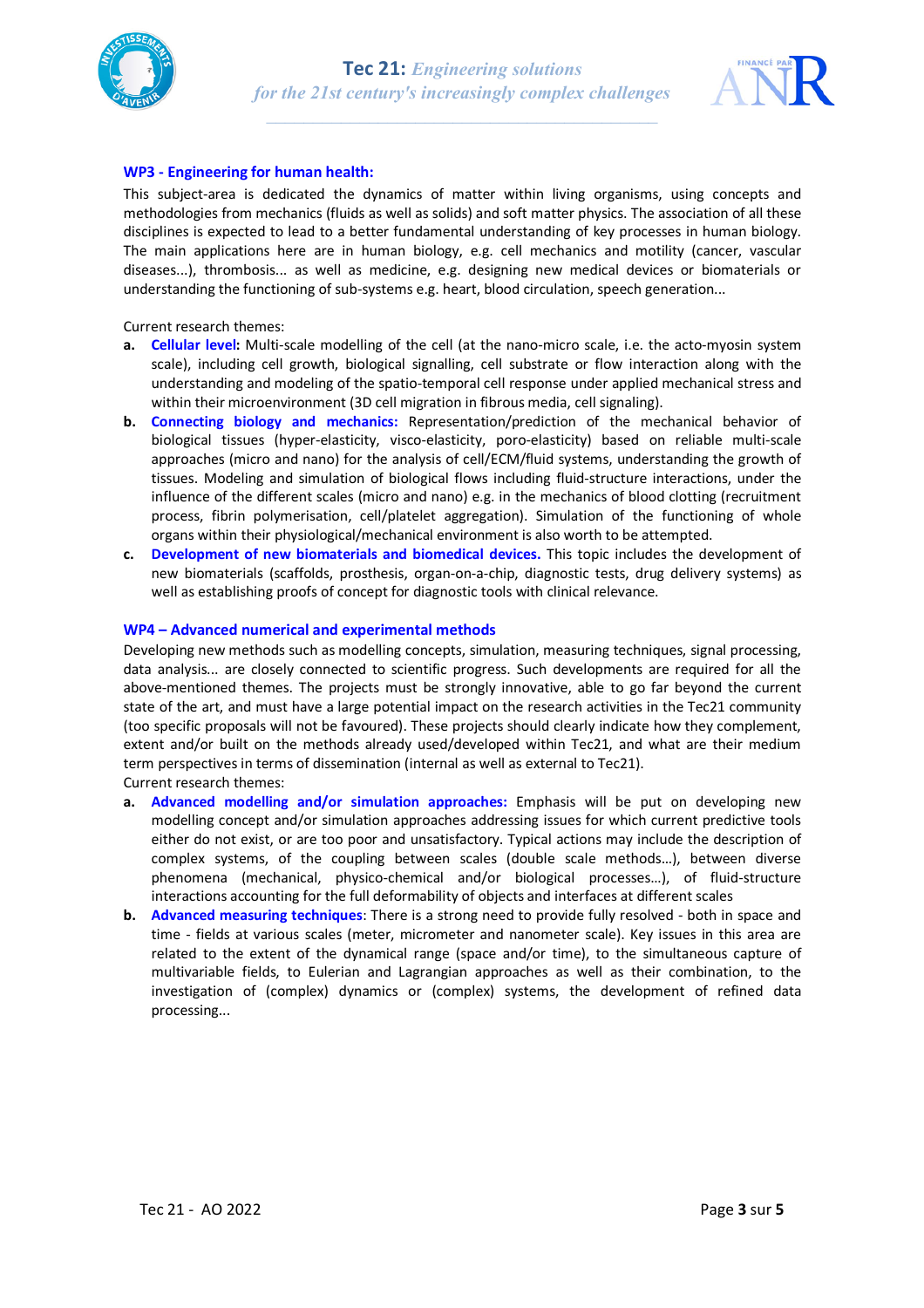



# **WP3 - Engineering for human health:**

This subject-area is dedicated the dynamics of matter within living organisms, using concepts and methodologies from mechanics (fluids as well as solids) and soft matter physics. The association of all these disciplines is expected to lead to a better fundamental understanding of key processes in human biology. The main applications here are in human biology, e.g. cell mechanics and motility (cancer, vascular diseases...), thrombosis... as well as medicine, e.g. designing new medical devices or biomaterials or understanding the functioning of sub-systems e.g. heart, blood circulation, speech generation...

Current research themes:

- **a. Cellular level:** Multi-scale modelling of the cell (at the nano-micro scale, i.e. the acto-myosin system scale), including cell growth, biological signalling, cell substrate or flow interaction along with the understanding and modeling of the spatio-temporal cell response under applied mechanical stress and within their microenvironment (3D cell migration in fibrous media, cell signaling).
- **b. Connecting biology and mechanics:** Representation/prediction of the mechanical behavior of biological tissues (hyper-elasticity, visco-elasticity, poro-elasticity) based on reliable multi-scale approaches (micro and nano) for the analysis of cell/ECM/fluid systems, understanding the growth of tissues. Modeling and simulation of biological flows including fluid-structure interactions, under the influence of the different scales (micro and nano) e.g. in the mechanics of blood clotting (recruitment process, fibrin polymerisation, cell/platelet aggregation). Simulation of the functioning of whole organs within their physiological/mechanical environment is also worth to be attempted.
- **c. Development of new biomaterials and biomedical devices.** This topic includes the development of new biomaterials (scaffolds, prosthesis, organ-on-a-chip, diagnostic tests, drug delivery systems) as well as establishing proofs of concept for diagnostic tools with clinical relevance.

### **WP4 – Advanced numerical and experimental methods**

Developing new methods such as modelling concepts, simulation, measuring techniques, signal processing, data analysis... are closely connected to scientific progress. Such developments are required for all the above-mentioned themes. The projects must be strongly innovative, able to go far beyond the current state of the art, and must have a large potential impact on the research activities in the Tec21 community (too specific proposals will not be favoured). These projects should clearly indicate how they complement, extent and/or built on the methods already used/developed within Tec21, and what are their medium term perspectives in terms of dissemination (internal as well as external to Tec21). Current research themes:

- **a. Advanced modelling and/or simulation approaches:** Emphasis will be put on developing new modelling concept and/or simulation approaches addressing issues for which current predictive tools either do not exist, or are too poor and unsatisfactory. Typical actions may include the description of complex systems, of the coupling between scales (double scale methods…), between diverse phenomena (mechanical, physico-chemical and/or biological processes…), of fluid-structure interactions accounting for the full deformability of objects and interfaces at different scales
- **b. Advanced measuring techniques**: There is a strong need to provide fully resolved both in space and time - fields at various scales (meter, micrometer and nanometer scale). Key issues in this area are related to the extent of the dynamical range (space and/or time), to the simultaneous capture of multivariable fields, to Eulerian and Lagrangian approaches as well as their combination, to the investigation of (complex) dynamics or (complex) systems, the development of refined data processing...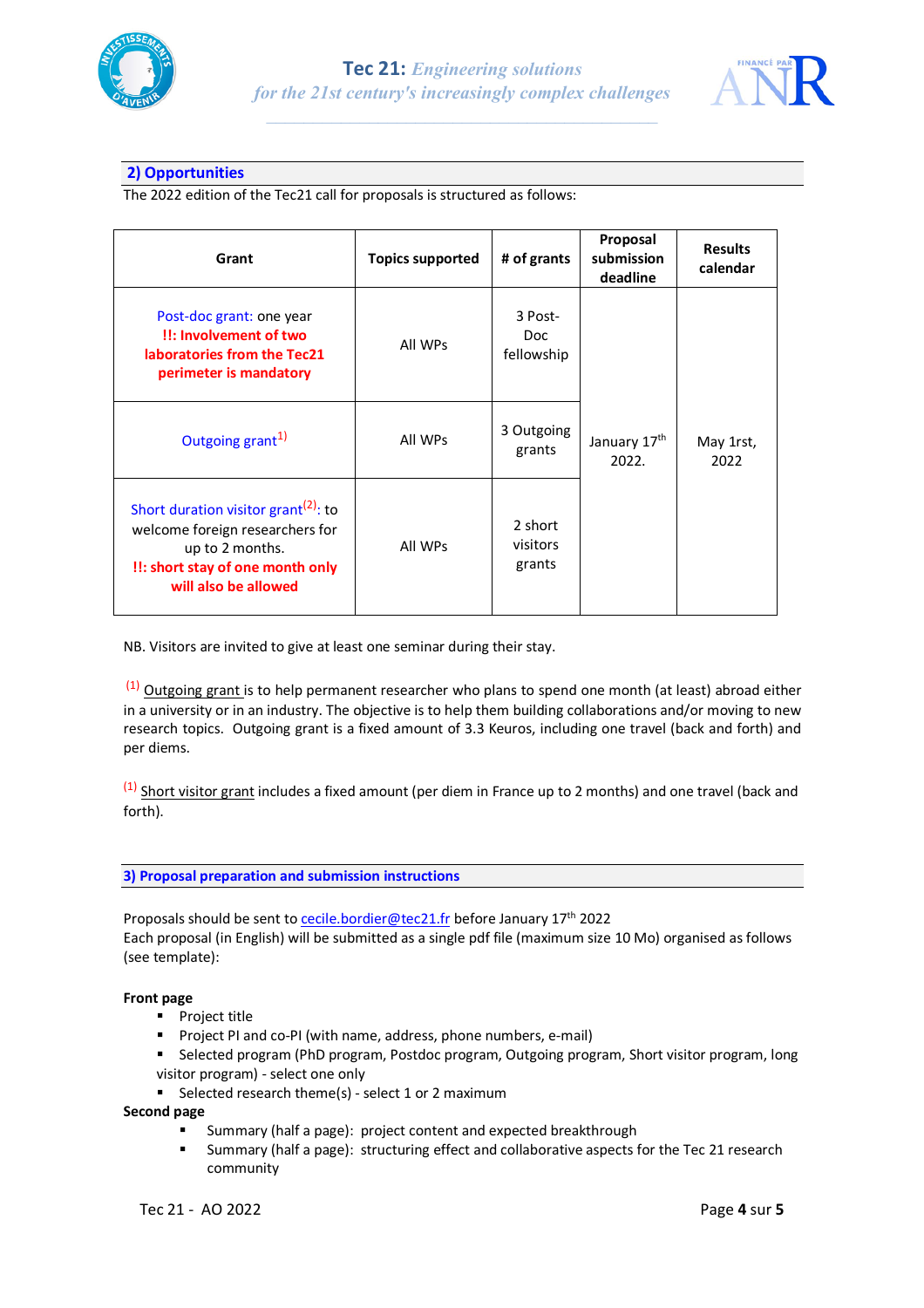



# **2) Opportunities**

The 2022 edition of the Tec21 call for proposals is structured as follows:

| Grant                                                                                                                                                              | <b>Topics supported</b> | # of grants                   | Proposal<br>submission<br>deadline | <b>Results</b><br>calendar |
|--------------------------------------------------------------------------------------------------------------------------------------------------------------------|-------------------------|-------------------------------|------------------------------------|----------------------------|
| Post-doc grant: one year<br>!!: Involvement of two<br>laboratories from the Tec21<br>perimeter is mandatory                                                        | All WPs                 | 3 Post-<br>Doc.<br>fellowship |                                    |                            |
| Outgoing grant <sup>1)</sup>                                                                                                                                       | All WPs                 | 3 Outgoing<br>grants          | January 17th<br>2022.              | May 1rst,<br>2022          |
| Short duration visitor grant <sup>(2)</sup> : to<br>welcome foreign researchers for<br>up to 2 months.<br>!!: short stay of one month only<br>will also be allowed | All WPs                 | 2 short<br>visitors<br>grants |                                    |                            |

NB. Visitors are invited to give at least one seminar during their stay.

 $(1)$  Outgoing grant is to help permanent researcher who plans to spend one month (at least) abroad either in a university or in an industry. The objective is to help them building collaborations and/or moving to new research topics. Outgoing grant is a fixed amount of 3.3 Keuros, including one travel (back and forth) and per diems.

 $(1)$  Short visitor grant includes a fixed amount (per diem in France up to 2 months) and one travel (back and forth).

# **3) Proposal preparation and submission instructions**

Proposals should be sent to cecile.bordier@tec21.fr before January 17<sup>th</sup> 2022 Each proposal (in English) will be submitted as a single pdf file (maximum size 10 Mo) organised as follows (see template):

# **Front page**

- Project title
- Project PI and co-PI (with name, address, phone numbers, e-mail)
- Selected program (PhD program, Postdoc program, Outgoing program, Short visitor program, long visitor program) - select one only
- Selected research theme(s) select 1 or 2 maximum

**Second page**

- § Summary (half a page): project content and expected breakthrough
- Summary (half a page): structuring effect and collaborative aspects for the Tec 21 research community